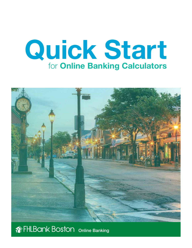# Quick Start for Online Banking Calculators



## **THLBANK BOSTON** Online Banking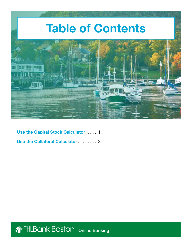

[Use the Capital Stock Calculator](#page-2-0) ...... 1 [Use the Collateral Calculator](#page-4-0) . . . . . . . 3

**THLBANK BOSTON** Online Banking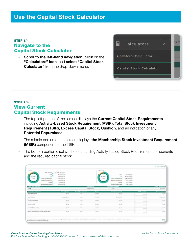## <span id="page-2-0"></span>STEP 1/4 Navigate to the Capital Stock Calculator

**Scroll to the left-hand navigation, click on the** "Calculators" icon, and select "Capital Stock **Calculator"** from the drop-down menu.



## STEP 2/4 View Current Capital Stock Requirements

- The top left portion of the screen displays the **Current Capital Stock Requirements** including Activity-based Stock Requirement (ASIR), Total Stock Investment Requirement (TSIR), Excess Capital Stock, Cushion, and an indication of any Potential Repurchase.
- The middle portion of the screen displays the Membership Stock Investment Requirement (MSIR) component of the TSIR.
- The bottom portion displays the outstanding Activity-based Stock Requirement components and the required capital stock.

|                                                                                                                                                                                                                                                                         |                                                                                                                                                                                               |                           |                                            |                                                                                                              |                                                                                              |                         | <b>Q</b> for 24 town                 |
|-------------------------------------------------------------------------------------------------------------------------------------------------------------------------------------------------------------------------------------------------------------------------|-----------------------------------------------------------------------------------------------------------------------------------------------------------------------------------------------|---------------------------|--------------------------------------------|--------------------------------------------------------------------------------------------------------------|----------------------------------------------------------------------------------------------|-------------------------|--------------------------------------|
| Current<br>Last updated<br>19,568%<br>Countal block Rebaren<br>Extern<br><b>Colwas Gagebal Mouth</b><br>Womenhall Hepsynthasis <sup>81</sup>                                                                                                                            | ANTIMOVAS, S.38 area<br>Asin <sup>o</sup><br>1171.000.00<br>TER <sup>0</sup><br><b>PLETE ROD DO</b><br>\$1245,600.00<br>AISE.700.00<br><b>Custom<sup>4</sup></b><br>9123200.00<br>\$98,100.00 |                           | Augustivened.<br><b>IX SARA</b><br>Toimin  | ALLES<br>TRIS<br>Castrial Mainh Rationin<br>Elevent Counter Stonds<br>Guidnon<br><b>Potential Repulchase</b> | 8370,480.00<br>\$1211,900.00<br>\$1,455,600.00<br>8228,500.00<br>\$13,500.00<br>\$100,000.00 |                         |                                      |
| <b>Clarke Mids Constraint</b><br>HEN O                                                                                                                                                                                                                                  |                                                                                                                                                                                               |                           | <b>Cernel Piston</b><br><b>BULHALOOGIE</b> | <b>Carroll Incorporate to</b><br>$-1416$                                                                     |                                                                                              |                         | Carent desurances<br><b>BBEZPARE</b> |
| <b>Capital Stock Component</b>                                                                                                                                                                                                                                          | <b>Carroll Peadaw</b>                                                                                                                                                                         | <b>Carred Hopmerson's</b> | <b>CELLS</b><br><b>Vacket</b>              | <b>Carold Insurance</b>                                                                                      |                                                                                              | <b>Net Change (+/ )</b> | <b>West Season comes</b>             |
| <b>The Age: Absolute</b>                                                                                                                                                                                                                                                | 77 C<br>\$5.00                                                                                                                                                                                | 3200                      | 100.000                                    | <b>PERMITTE</b><br>9500                                                                                      |                                                                                              | \$110.                  | 31.55                                |
| Other Adversey                                                                                                                                                                                                                                                          | THIRLOODIA                                                                                                                                                                                    | ento                      | mhindi<br>wise                             | 1070142.50                                                                                                   |                                                                                              | 2122                    | 1015 441-51                          |
| Advance Seasonhouses                                                                                                                                                                                                                                                    | MAG                                                                                                                                                                                           | <b>Hand</b>               | <b>HARM</b><br>709                         | SA ABL                                                                                                       |                                                                                              | 222                     | $1 - 50$                             |
| me,<br>Lebox Uh Cordé                                                                                                                                                                                                                                                   | \$5.00                                                                                                                                                                                        | m<br>1.958                | At AAr                                     | m<br>10.00<br>50 G                                                                                           |                                                                                              | $21 - 6$                | 38.58                                |
| <b>BARALDINGS</b><br>Ausspress Paintings Aussity<br>199150                                                                                                                                                                                                              | w<br>Anna                                                                                                                                                                                     | <b>LES</b><br>m           | <b>START</b>                               | 31.50<br>Coort                                                                                               |                                                                                              | 81.08                   | ALL ALL                              |
| and the permet control that halls, at odd an artist<br>Statisticy Collectionary of the Ampures Hombler Assum-<br><b>STANDARD</b>                                                                                                                                        | ALC: NO<br><b>ANTIS</b>                                                                                                                                                                       | <b>SHOW</b><br>a an       | 3-Art<br>. .                               | 32.00                                                                                                        |                                                                                              | 141141                  | \$1.50<br>w                          |
|                                                                                                                                                                                                                                                                         |                                                                                                                                                                                               |                           |                                            |                                                                                                              |                                                                                              |                         |                                      |
| All the Complete System (Section) and Complete Complete University Complete Pann und Brad El add A provided in the System Income Income Design Area Complete Design Completed for Angles (Section) Laters under<br>will presume installed of data for the returned that |                                                                                                                                                                                               |                           |                                            |                                                                                                              |                                                                                              |                         | <b>Boot</b>                          |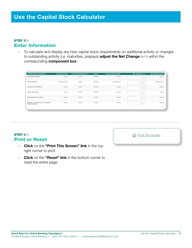## STEP 3/4 Enter Information

• To calculate and display any new capital stock requirements on additional activity or changes to outstanding activity (i.e. maturities, prepays) adjust the Net Change (+/-) within the corresponding component box.

| <b>Capital Stock Component</b>                                                            | <b>Current Position</b>            | <b>Current Requirement %</b> | Factor                               | <b>Current Requirement</b> | Net Change (=/-)             | <b>New Requirement</b>         |
|-------------------------------------------------------------------------------------------|------------------------------------|------------------------------|--------------------------------------|----------------------------|------------------------------|--------------------------------|
| Oversight Advances<br>1940 - Maria Maria Maria Ma                                         | \$0.00                             | 3000                         | 100.000                              | \$0.00                     | 1000                         | \$0.00                         |
| Other Advances<br>--                                                                      | 514 261 000.00<br>THE STATE OF THE | 4,000                        | <b>TAXABLE</b><br>100.000<br>-22,000 | \$570,480.00               | 50,00<br><b>CARL AND THE</b> | 1570.480.00<br><b>PERSONAL</b> |
| Advance Commitments                                                                       | \$0.00                             | A WARRANT<br>0.000           | <b>MARINE STAR</b><br>100.000        | 50.00                      | \$0.00                       | 0000                           |
| Letters Of Credit                                                                         | \$0.00                             | 0.500                        | 80.000                               | 10:00                      | 10.00                        | \$5.00                         |
| Acquired Member Assets                                                                    | \$0.00                             | 0.000                        | 0.000                                | 50.00                      | 3000.                        | 00.00                          |
| Delivery Commitments for Acquired<br>unessa nu mener<br>Merriber Assets<br>SHOW THREE WAY | \$0.00                             | 0000                         | 0.000                                | \$0.00                     | 30.000                       | 50.00                          |

## STEP 4/4 Print or Reset

- Click on the "Print This Screen" link in the top right corner to print.
- Click on the "Reset" link in the bottom corner to reset the entire page.

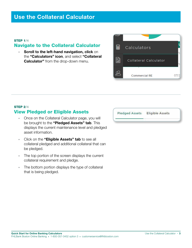## <span id="page-4-0"></span>Use the Collateral Calculator

#### STEP 1/4

## Navigate to the Collateral Calculator

**• Scroll to the left-hand navigation, click on** the "Calculators" icon, and select "Collateral **Calculator"** from the drop-down menu.



## **STEP 2/4** View Pledged or Eligible Assets

- Once on the Collateral Calculator page, you will be brought to the "Pledged Assets" tab. This displays the current maintenance level and pledged asset information.
- Click on the "Eligible Assets" tab to see all collateral pledged and additional collateral that can be pledged.
- The top portion of the screen displays the current collateral requirement and pledge.
- The bottom portion displays the type of collateral that is being pledged.

**Pledged Assets Eligible Assets**